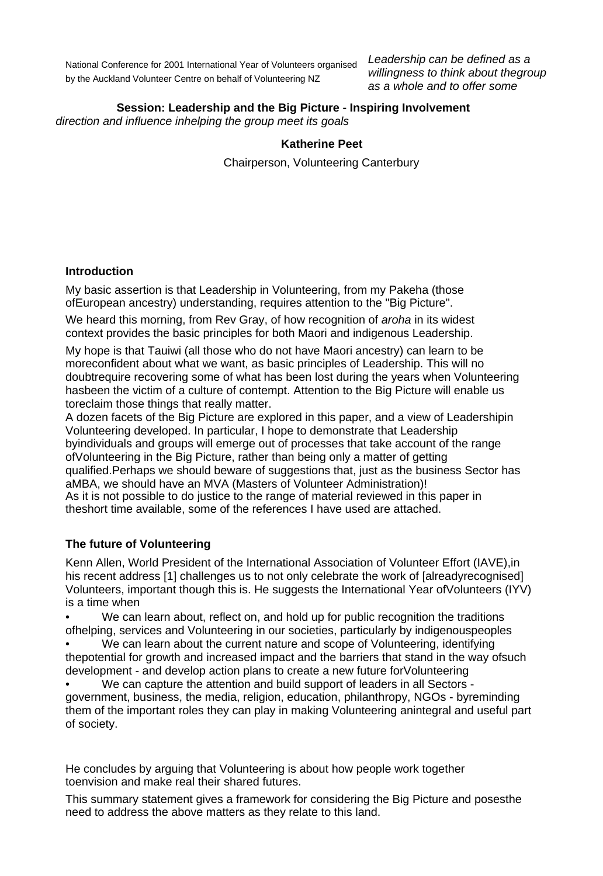National Conference for 2001 International Year of Volunteers organised by the Auckland Volunteer Centre on behalf of Volunteering NZ

*Leadership can be defined as a willingness to think about thegroup as a whole and to offer some* 

# **Session: Leadership and the Big Picture - Inspiring Involvement**

*direction and influence inhelping the group meet its goals* 

#### **Katherine Peet**

Chairperson, Volunteering Canterbury

#### **Introduction**

My basic assertion is that Leadership in Volunteering, from my Pakeha (those ofEuropean ancestry) understanding, requires attention to the "Big Picture".

We heard this morning, from Rev Gray, of how recognition of *aroha* in its widest context provides the basic principles for both Maori and indigenous Leadership.

My hope is that Tauiwi (all those who do not have Maori ancestry) can learn to be moreconfident about what we want, as basic principles of Leadership. This will no doubtrequire recovering some of what has been lost during the years when Volunteering hasbeen the victim of a culture of contempt. Attention to the Big Picture will enable us toreclaim those things that really matter.

A dozen facets of the Big Picture are explored in this paper, and a view of Leadershipin Volunteering developed. In particular, I hope to demonstrate that Leadership byindividuals and groups will emerge out of processes that take account of the range ofVolunteering in the Big Picture, rather than being only a matter of getting qualified.Perhaps we should beware of suggestions that, just as the business Sector has aMBA, we should have an MVA (Masters of Volunteer Administration)! As it is not possible to do justice to the range of material reviewed in this paper in theshort time available, some of the references I have used are attached.

#### **The future of Volunteering**

Kenn Allen, World President of the International Association of Volunteer Effort (IAVE),in his recent address [1] challenges us to not only celebrate the work of [alreadyrecognised] Volunteers, important though this is. He suggests the International Year ofVolunteers (IYV) is a time when

We can learn about, reflect on, and hold up for public recognition the traditions ofhelping, services and Volunteering in our societies, particularly by indigenouspeoples

We can learn about the current nature and scope of Volunteering, identifying thepotential for growth and increased impact and the barriers that stand in the way ofsuch development - and develop action plans to create a new future forVolunteering

• We can capture the attention and build support of leaders in all Sectors government, business, the media, religion, education, philanthropy, NGOs - byreminding them of the important roles they can play in making Volunteering anintegral and useful part of society.

He concludes by arguing that Volunteering is about how people work together toenvision and make real their shared futures.

This summary statement gives a framework for considering the Big Picture and posesthe need to address the above matters as they relate to this land.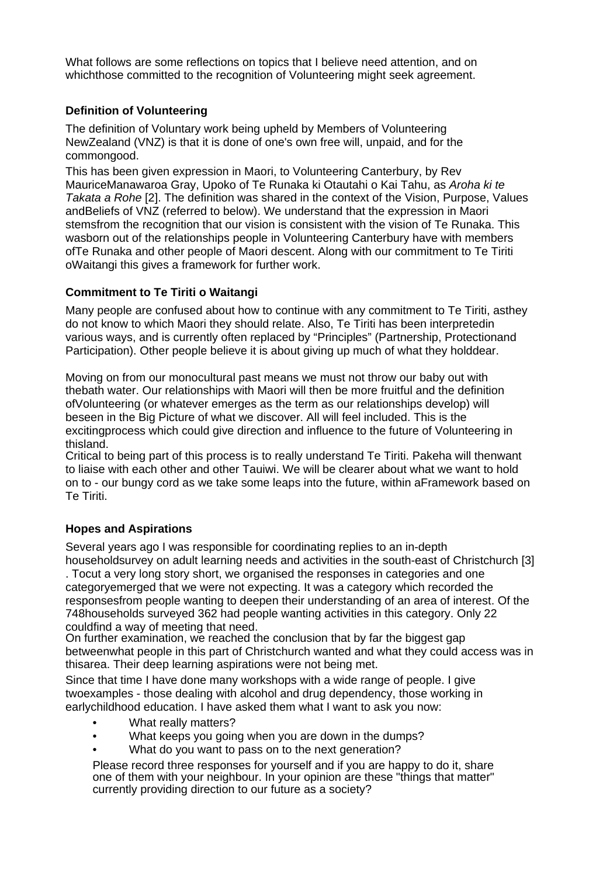What follows are some reflections on topics that I believe need attention, and on whichthose committed to the recognition of Volunteering might seek agreement.

## **Definition of Volunteering**

The definition of Voluntary work being upheld by Members of Volunteering NewZealand (VNZ) is that it is done of one's own free will, unpaid, and for the commongood.

This has been given expression in Maori, to Volunteering Canterbury, by Rev MauriceManawaroa Gray, Upoko of Te Runaka ki Otautahi o Kai Tahu, as *Aroha ki te Takata a Rohe* [2]. The definition was shared in the context of the Vision, Purpose, Values andBeliefs of VNZ (referred to below). We understand that the expression in Maori stemsfrom the recognition that our vision is consistent with the vision of Te Runaka. This wasborn out of the relationships people in Volunteering Canterbury have with members ofTe Runaka and other people of Maori descent. Along with our commitment to Te Tiriti oWaitangi this gives a framework for further work.

## **Commitment to Te Tiriti o Waitangi**

Many people are confused about how to continue with any commitment to Te Tiriti, asthey do not know to which Maori they should relate. Also, Te Tiriti has been interpretedin various ways, and is currently often replaced by "Principles" (Partnership, Protectionand Participation). Other people believe it is about giving up much of what they holddear.

Moving on from our monocultural past means we must not throw our baby out with thebath water. Our relationships with Maori will then be more fruitful and the definition ofVolunteering (or whatever emerges as the term as our relationships develop) will beseen in the Big Picture of what we discover. All will feel included. This is the excitingprocess which could give direction and influence to the future of Volunteering in thisland.

Critical to being part of this process is to really understand Te Tiriti. Pakeha will thenwant to liaise with each other and other Tauiwi. We will be clearer about what we want to hold on to - our bungy cord as we take some leaps into the future, within aFramework based on Te Tiriti.

## **Hopes and Aspirations**

Several years ago I was responsible for coordinating replies to an in-depth householdsurvey on adult learning needs and activities in the south-east of Christchurch [3] . Tocut a very long story short, we organised the responses in categories and one categoryemerged that we were not expecting. It was a category which recorded the responsesfrom people wanting to deepen their understanding of an area of interest. Of the 748households surveyed 362 had people wanting activities in this category. Only 22 couldfind a way of meeting that need.

On further examination, we reached the conclusion that by far the biggest gap betweenwhat people in this part of Christchurch wanted and what they could access was in thisarea. Their deep learning aspirations were not being met.

Since that time I have done many workshops with a wide range of people. I give twoexamples - those dealing with alcohol and drug dependency, those working in earlychildhood education. I have asked them what I want to ask you now:

- What really matters?
- What keeps you going when you are down in the dumps?
- What do you want to pass on to the next generation?

Please record three responses for yourself and if you are happy to do it, share one of them with your neighbour. In your opinion are these "things that matter" currently providing direction to our future as a society?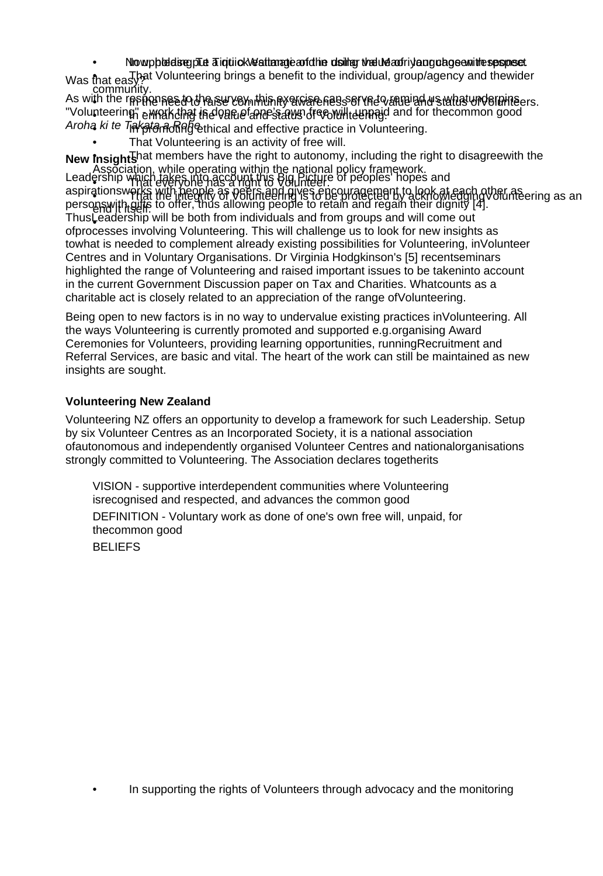## • Nowpholding Tuti o Neatter a put a stimate of the dollar value and in using chose with responset.

Was that easy? Volunteering brings a benefit to the individual, group/agency and thewider **community** 

As with the responses to the survey, this eyewse ress of the value and status und ordinaers. "Volunteering empakcing indvances and status of economic and for the common good Aroha ki te T<sub>i</sub>akata a Rehical and effective practice in Volunteering.

That Volunteering is an activity of free will.

**New insights**  $\frac{1}{2}$  ship which takes into account this Big. Picture of peoples' hopes a New Insight shat members have the right to autonomy, including the right to disagreewith the Association, while operating within the national policy framework. Leadership which takes into account this  $\beta$ ig Picture of people's hopes and

aspirationsw persons with gifts to offer, thus allowing people to retain and regain their dignity [4]. Thus Leadership will be both from individuals and from groups and will come out ofprocesses involving Volunteering. This will challenge us to look for new insights as towhat is needed to complement already existing possibilities for Volunteering, inVolunteer Centres and in Voluntary Organisations. Dr Virginia Hodgkinson's [5] recentseminars highlighted the range of Volunteering and raised important issues to be takeninto account in the current Government Discussion paper on Tax and Charities. Whatcounts as a charitable act is closely related to an appreciation of the range ofVolunteering. ership which takes into account this Big Picture of peoples' hopes and<br>ationswerks with people as peers and gives encouragement to look at each other as auorisweltat the integrity of VoltInteering is to be protected by acknowledging Volunteering as an<br>pswith gifts to offer, thus allowing people to retain and regain their dignity [4]. end it itself.<br>Leadership wi

Being open to new factors is in no way to undervalue existing practices inVolunteering. All the ways Volunteering is currently promoted and supported e.g.organising Award Ceremonies for Volunteers, providing learning opportunities, runningRecruitment and Referral Services, are basic and vital. The heart of the work can still be maintained as new insights are sought.

## **Volunteering New Zealand**

Volunteering NZ offers an opportunity to develop a framework for such Leadership. Setup by six Volunteer Centres as an Incorporated Society, it is a national association ofautonomous and independently organised Volunteer Centres and nationalorganisations strongly committed to Volunteering. The Association declares togetherits

VISION - supportive interdependent communities where Volunteering isrecognised and respected, and advances the common good DEFINITION - Voluntary work as done of one's own free will, unpaid, for thecommon good BELIEFS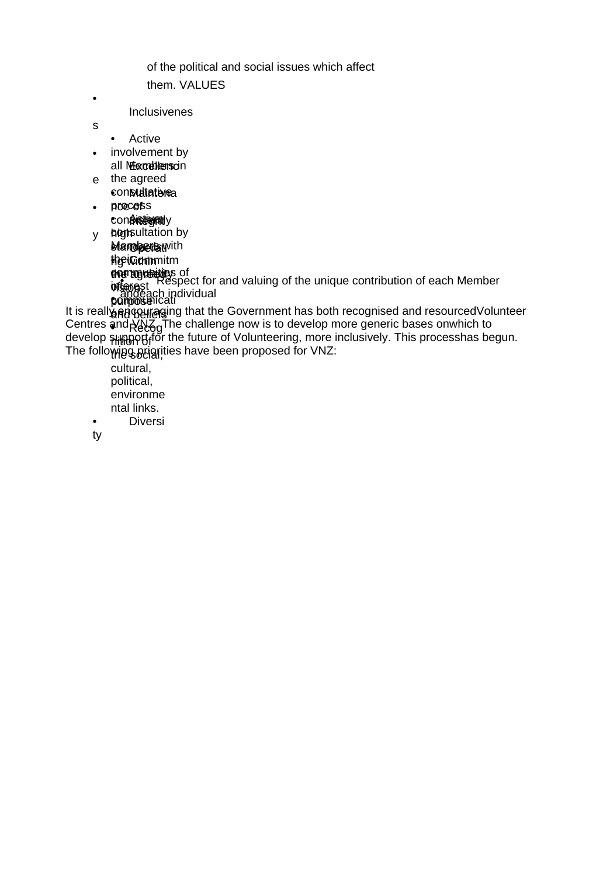of the political and social issues which affect them. VALUES

Inclusivenes

• Active

•

s

- involvement by all Merceblens cin
- e the agreed con**Matatere**a
- proece<sub>fi</sub>s **consistignity** •

y **hon**sultation by **Manopers with** the Commitm **e artionale** in • en ordere of pɗ the agree vi pu **m in detailed** of **t**erest **T to detaines** anugayn <sub>III</sub> ÿ₿ **seog**s! **r**pose) **F** Byto Respect for and valuing of the unique contribution of each Member andeach individual

afl • and contegli <u>sug K¶Ƙ</u>èd shidoo bil The following beigrities have been proposed for VNZ: It is really encouraging that the Government has both recognised and resourced Volunteer Centres and  $\Delta N$ <sub>n</sub>The challenge now is to develop more generic bases onwhich to develop *s*upport for the future of Volunteering, more inclusively. This processhas begun.

cultural, political, environme ntal links. • Diversi

ty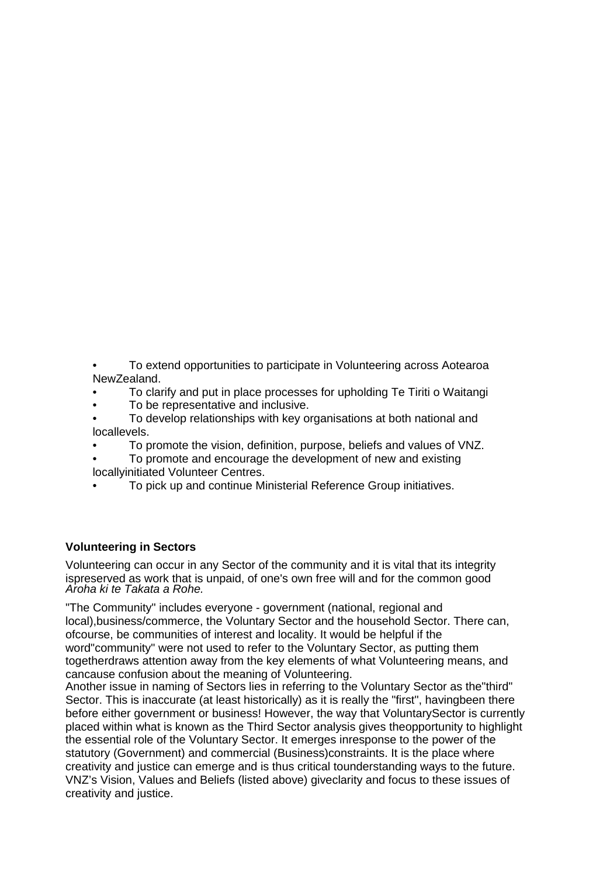- To extend opportunities to participate in Volunteering across Aotearoa NewZealand.
- To clarify and put in place processes for upholding Te Tiriti o Waitangi
- To be representative and inclusive.
- To develop relationships with key organisations at both national and locallevels.
- To promote the vision, definition, purpose, beliefs and values of VNZ.
- To promote and encourage the development of new and existing locallyinitiated Volunteer Centres.
- To pick up and continue Ministerial Reference Group initiatives.

#### **Volunteering in Sectors**

Volunteering can occur in any Sector of the community and it is vital that its integrity ispreserved as work that is unpaid, of one's own free will and for the common good *Aroha ki te Takata a Rohe.* 

"The Community" includes everyone - government (national, regional and local),business/commerce, the Voluntary Sector and the household Sector. There can, ofcourse, be communities of interest and locality. It would be helpful if the word"community" were not used to refer to the Voluntary Sector, as putting them

togetherdraws attention away from the key elements of what Volunteering means, and cancause confusion about the meaning of Volunteering.

Another issue in naming of Sectors lies in referring to the Voluntary Sector as the"third" Sector. This is inaccurate (at least historically) as it is really the "first", havingbeen there before either government or business! However, the way that VoluntarySector is currently placed within what is known as the Third Sector analysis gives theopportunity to highlight the essential role of the Voluntary Sector. It emerges inresponse to the power of the statutory (Government) and commercial (Business)constraints. It is the place where creativity and justice can emerge and is thus critical tounderstanding ways to the future. VNZ's Vision, Values and Beliefs (listed above) giveclarity and focus to these issues of creativity and justice.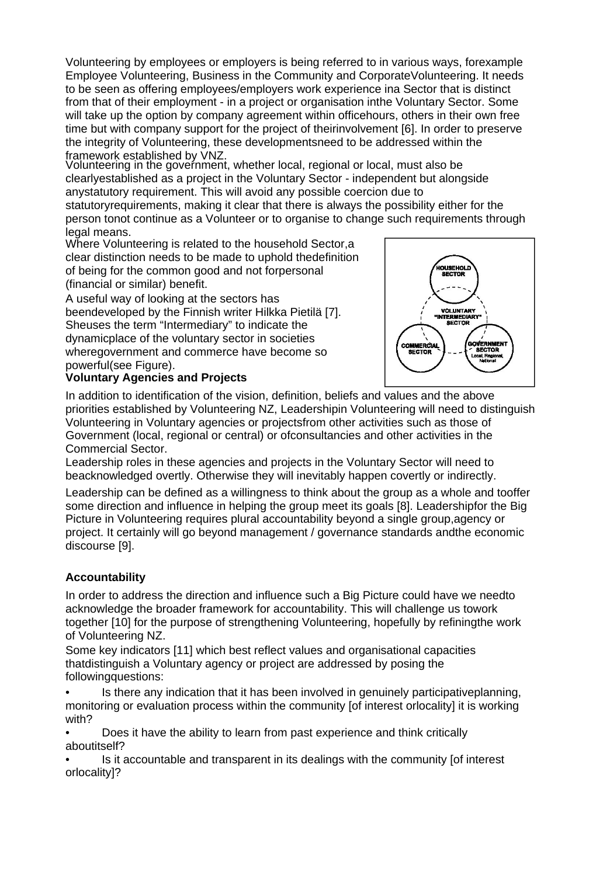Volunteering by employees or employers is being referred to in various ways, forexample Employee Volunteering, Business in the Community and CorporateVolunteering. It needs to be seen as offering employees/employers work experience ina Sector that is distinct from that of their employment - in a project or organisation inthe Voluntary Sector. Some will take up the option by company agreement within officehours, others in their own free time but with company support for the project of theirinvolvement [6]. In order to preserve the integrity of Volunteering, these developmentsneed to be addressed within the framework established by VNZ.

Volunteering in the government, whether local, regional or local, must also be clearlyestablished as a project in the Voluntary Sector - independent but alongside anystatutory requirement. This will avoid any possible coercion due to statutoryrequirements, making it clear that there is always the possibility either for the person tonot continue as a Volunteer or to organise to change such requirements through

legal means.

Where Volunteering is related to the household Sector,a clear distinction needs to be made to uphold thedefinition of being for the common good and not forpersonal (financial or similar) benefit.

A useful way of looking at the sectors has beendeveloped by the Finnish writer Hilkka Pietilä [7]. Sheuses the term "Intermediary" to indicate the dynamicplace of the voluntary sector in societies wheregovernment and commerce have become so powerful(see Figure).

## **Voluntary Agencies and Projects**



In addition to identification of the vision, definition, beliefs and values and the above priorities established by Volunteering NZ, Leadershipin Volunteering will need to distinguish Volunteering in Voluntary agencies or projectsfrom other activities such as those of Government (local, regional or central) or ofconsultancies and other activities in the Commercial Sector.

Leadership roles in these agencies and projects in the Voluntary Sector will need to beacknowledged overtly. Otherwise they will inevitably happen covertly or indirectly.

Leadership can be defined as a willingness to think about the group as a whole and tooffer some direction and influence in helping the group meet its goals [8]. Leadershipfor the Big Picture in Volunteering requires plural accountability beyond a single group,agency or project. It certainly will go beyond management / governance standards andthe economic discourse [9].

## **Accountability**

In order to address the direction and influence such a Big Picture could have we needto acknowledge the broader framework for accountability. This will challenge us towork together [10] for the purpose of strengthening Volunteering, hopefully by refiningthe work of Volunteering NZ.

Some key indicators [11] which best reflect values and organisational capacities thatdistinguish a Voluntary agency or project are addressed by posing the followingquestions:

• Is there any indication that it has been involved in genuinely participativeplanning, monitoring or evaluation process within the community [of interest orlocality] it is working with?

• Does it have the ability to learn from past experience and think critically aboutitself?

• Is it accountable and transparent in its dealings with the community [of interest orlocality]?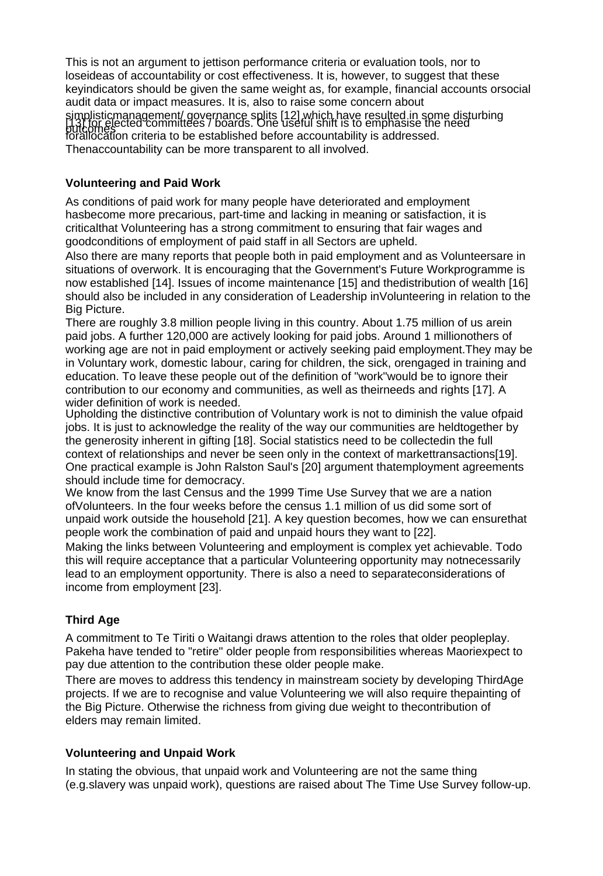This is not an argument to jettison performance criteria or evaluation tools, nor to loseideas of accountability or cost effectiveness. It is, however, to suggest that these keyindicators should be given the same weight as, for example, financial accounts orsocial audit data or impact measures. It is, also to raise some concern about simplisticmanagement/ governance splits [12] which have resulted in some disturbing<br>[13] for elected committees / boards. One useful shift is to emphasise the need<br>putcomes on exterie to be established hafare essexuatebili for the gradient communication of the state of the secountability is addressed.<br>forallocation criteria to be established before accountability is addressed. Thenaccountability can be more transparent to all involved.

## **Volunteering and Paid Work**

As conditions of paid work for many people have deteriorated and employment hasbecome more precarious, part-time and lacking in meaning or satisfaction, it is criticalthat Volunteering has a strong commitment to ensuring that fair wages and goodconditions of employment of paid staff in all Sectors are upheld.

Also there are many reports that people both in paid employment and as Volunteersare in situations of overwork. It is encouraging that the Government's Future Workprogramme is now established [14]. Issues of income maintenance [15] and thedistribution of wealth [16] should also be included in any consideration of Leadership inVolunteering in relation to the Big Picture.

There are roughly 3.8 million people living in this country. About 1.75 million of us arein paid jobs. A further 120,000 are actively looking for paid jobs. Around 1 millionothers of working age are not in paid employment or actively seeking paid employment.They may be in Voluntary work, domestic labour, caring for children, the sick, orengaged in training and education. To leave these people out of the definition of "work"would be to ignore their contribution to our economy and communities, as well as theirneeds and rights [17]. A wider definition of work is needed.

Upholding the distinctive contribution of Voluntary work is not to diminish the value ofpaid jobs. It is just to acknowledge the reality of the way our communities are heldtogether by the generosity inherent in gifting [18]. Social statistics need to be collectedin the full context of relationships and never be seen only in the context of markettransactions[19]. One practical example is John Ralston Saul's [20] argument thatemployment agreements should include time for democracy.

We know from the last Census and the 1999 Time Use Survey that we are a nation ofVolunteers. In the four weeks before the census 1.1 million of us did some sort of unpaid work outside the household [21]. A key question becomes, how we can ensurethat people work the combination of paid and unpaid hours they want to [22].

Making the links between Volunteering and employment is complex yet achievable. Todo this will require acceptance that a particular Volunteering opportunity may notnecessarily lead to an employment opportunity. There is also a need to separateconsiderations of income from employment [23].

# **Third Age**

A commitment to Te Tiriti o Waitangi draws attention to the roles that older peopleplay. Pakeha have tended to "retire" older people from responsibilities whereas Maoriexpect to pay due attention to the contribution these older people make.

There are moves to address this tendency in mainstream society by developing ThirdAge projects. If we are to recognise and value Volunteering we will also require thepainting of the Big Picture. Otherwise the richness from giving due weight to thecontribution of elders may remain limited.

# **Volunteering and Unpaid Work**

In stating the obvious, that unpaid work and Volunteering are not the same thing (e.g.slavery was unpaid work), questions are raised about The Time Use Survey follow-up.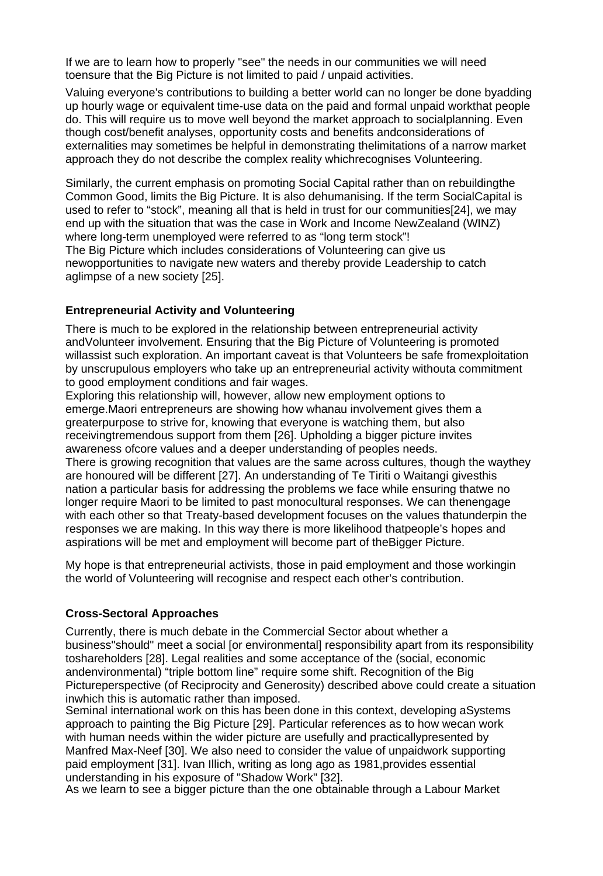If we are to learn how to properly "see" the needs in our communities we will need toensure that the Big Picture is not limited to paid / unpaid activities.

Valuing everyone's contributions to building a better world can no longer be done byadding up hourly wage or equivalent time-use data on the paid and formal unpaid workthat people do. This will require us to move well beyond the market approach to socialplanning. Even though cost/benefit analyses, opportunity costs and benefits andconsiderations of externalities may sometimes be helpful in demonstrating thelimitations of a narrow market approach they do not describe the complex reality whichrecognises Volunteering.

Similarly, the current emphasis on promoting Social Capital rather than on rebuildingthe Common Good, limits the Big Picture. It is also dehumanising. If the term SocialCapital is used to refer to "stock", meaning all that is held in trust for our communities[24], we may end up with the situation that was the case in Work and Income NewZealand (WINZ) where long-term unemployed were referred to as "long term stock"! The Big Picture which includes considerations of Volunteering can give us newopportunities to navigate new waters and thereby provide Leadership to catch aglimpse of a new society [25].

#### **Entrepreneurial Activity and Volunteering**

There is much to be explored in the relationship between entrepreneurial activity andVolunteer involvement. Ensuring that the Big Picture of Volunteering is promoted willassist such exploration. An important caveat is that Volunteers be safe fromexploitation by unscrupulous employers who take up an entrepreneurial activity withouta commitment to good employment conditions and fair wages.

Exploring this relationship will, however, allow new employment options to emerge.Maori entrepreneurs are showing how whanau involvement gives them a greaterpurpose to strive for, knowing that everyone is watching them, but also receivingtremendous support from them [26]. Upholding a bigger picture invites awareness ofcore values and a deeper understanding of peoples needs.

There is growing recognition that values are the same across cultures, though the waythey are honoured will be different [27]. An understanding of Te Tiriti o Waitangi givesthis nation a particular basis for addressing the problems we face while ensuring thatwe no longer require Maori to be limited to past monocultural responses. We can thenengage with each other so that Treaty-based development focuses on the values thatunderpin the responses we are making. In this way there is more likelihood thatpeople's hopes and aspirations will be met and employment will become part of theBigger Picture.

My hope is that entrepreneurial activists, those in paid employment and those workingin the world of Volunteering will recognise and respect each other's contribution.

#### **Cross-Sectoral Approaches**

Currently, there is much debate in the Commercial Sector about whether a business"should" meet a social [or environmental] responsibility apart from its responsibility toshareholders [28]. Legal realities and some acceptance of the (social, economic andenvironmental) "triple bottom line" require some shift. Recognition of the Big Pictureperspective (of Reciprocity and Generosity) described above could create a situation inwhich this is automatic rather than imposed.

Seminal international work on this has been done in this context, developing aSystems approach to painting the Big Picture [29]. Particular references as to how wecan work with human needs within the wider picture are usefully and practicallypresented by Manfred Max-Neef [30]. We also need to consider the value of unpaidwork supporting paid employment [31]. Ivan Illich, writing as long ago as 1981,provides essential understanding in his exposure of "Shadow Work" [32].

As we learn to see a bigger picture than the one obtainable through a Labour Market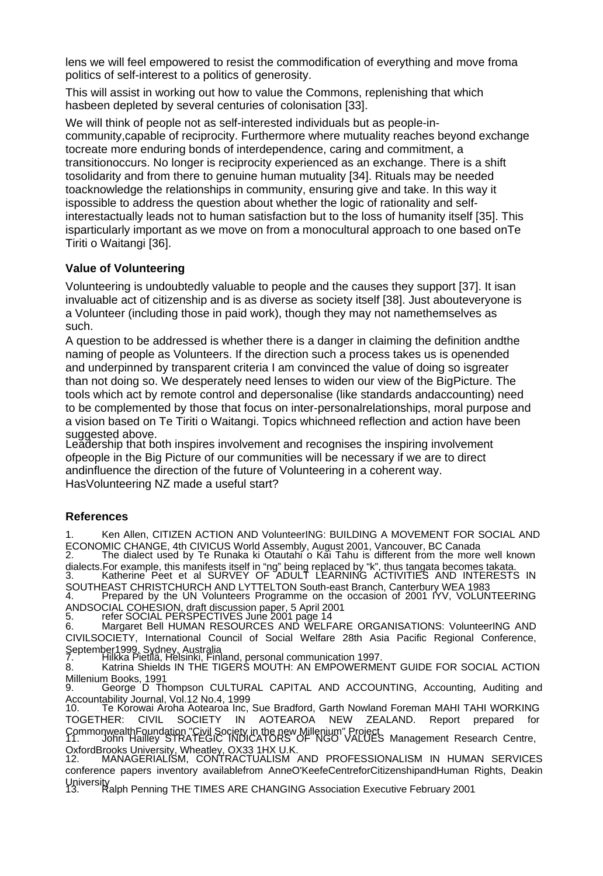lens we will feel empowered to resist the commodification of everything and move froma politics of self-interest to a politics of generosity.

This will assist in working out how to value the Commons, replenishing that which hasbeen depleted by several centuries of colonisation [33].

We will think of people not as self-interested individuals but as people-incommunity,capable of reciprocity. Furthermore where mutuality reaches beyond exchange tocreate more enduring bonds of interdependence, caring and commitment, a transitionoccurs. No longer is reciprocity experienced as an exchange. There is a shift tosolidarity and from there to genuine human mutuality [34]. Rituals may be needed toacknowledge the relationships in community, ensuring give and take. In this way it ispossible to address the question about whether the logic of rationality and selfinterestactually leads not to human satisfaction but to the loss of humanity itself [35]. This isparticularly important as we move on from a monocultural approach to one based onTe Tiriti o Waitangi [36].

## **Value of Volunteering**

Volunteering is undoubtedly valuable to people and the causes they support [37]. It isan invaluable act of citizenship and is as diverse as society itself [38]. Just abouteveryone is a Volunteer (including those in paid work), though they may not namethemselves as such.

A question to be addressed is whether there is a danger in claiming the definition andthe naming of people as Volunteers. If the direction such a process takes us is openended and underpinned by transparent criteria I am convinced the value of doing so isgreater than not doing so. We desperately need lenses to widen our view of the BigPicture. The tools which act by remote control and depersonalise (like standards andaccounting) need to be complemented by those that focus on inter-personalrelationships, moral purpose and a vision based on Te Tiriti o Waitangi. Topics whichneed reflection and action have been suggested above.

Leadership that both inspires involvement and recognises the inspiring involvement ofpeople in the Big Picture of our communities will be necessary if we are to direct andinfluence the direction of the future of Volunteering in a coherent way. HasVolunteering NZ made a useful start?

## **References**

1. Ken Allen, CITIZEN ACTION AND VolunteerING: BUILDING A MOVEMENT FOR SOCIAL AND ECONOMIC CHANGE, 4th CIVICUS World Assembly, August 2001, Vancouver, BC Canada 2. The dialect used by Te Runaka ki Otautahi o Kai Tahu is different from the more well known dialects.For example, this manifests itself in "ng" being replaced by "k", thus tangata becomes takata.<br>3. Katherine Peet et al SURVEY OF ADULT LEARNING ACTIVITIES AND INTERESTS IN SOUTHEAST CHRISTCHURCH AND LYTTELTON South-east Branch, Canterbury WEA 1983<br>4. Prepared by the UN Volunteers Programme on the occasion of 2001 IYV, VOLUNTEERING

ANDSOCIAL COHESION, draft discussion paper, 5 April 2001

5. refer SOCIAL PERSPECTIVES June 2001 page 14 6. Margaret Bell HUMAN RESOURCES AND WELFARE ORGANISATIONS: VolunteerING AND CIVILSOCIETY, International Council of Social Welfare 28th Asia Pacific Regional Conference,

September1999, Sydney, Australia 7. Hilkka Pietilä, Helsinki, Finland, personal communication 1997.

8. Katrina Shields IN THE TIGERS MOUTH: AN EMPOWERMENT GUIDE FOR SOCIAL ACTION Millenium Books, 1991

9. George D Thompson CULTURAL CAPITAL AND ACCOUNTING, Accounting, Auditing and Accountability Journal, Vol.12 No.4, 1999

10. Te Korowai Aroha Aotearoa Inc, Sue Bradford, Garth Nowland Foreman MAHI TAHI WORKING TOGETHER: CIVIL SOCIETY IN AOTEAROA NEW ZEALAND. Report prepared for CommonwealthFoundation "Civil Society in the new Millenium" Project 11. John Hailley STRATEGIC INDICATORS OF NGO VALUES Management Research Centre,

OxfordBrooks University, Wheatley, OX33 1HX U.K. 12. MANAGERIALISM, CONTRACTUALISM AND PROFESSIONALISM IN HUMAN SERVICES conference papers inventory availablefrom AnneO'KeefeCentreforCitizenshipandHuman Rights, Deakin

University<br>13. Ralph Penning THE TIMES ARE CHANGING Association Executive February 2001